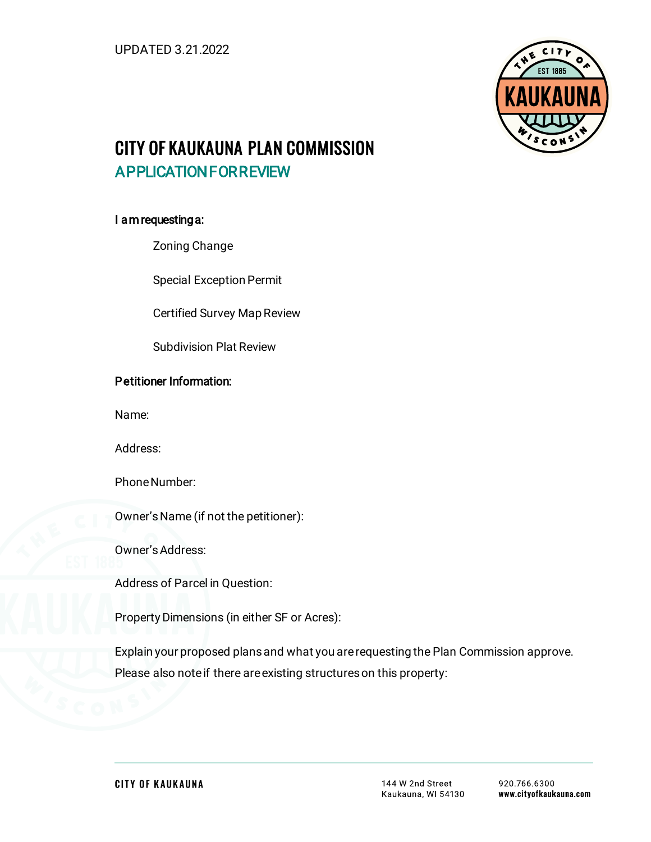

# CITY OF KAUKAUNA PLAN COMMISSION APPLICATION FOR REVIEW

### I am requesting a:

Zoning Change

Special Exception Permit

Certified Survey Map Review

Subdivision Plat Review

## Petitioner Information:

Name:

Address:

Phone Number:

Owner's Name (if not the petitioner):

Owner's Address:

Address of Parcel in Question:

Property Dimensions (in either SF or Acres):

Explain your proposed plans and what you are requesting the Plan Commission approve. Please also note if there are existing structures on this property: